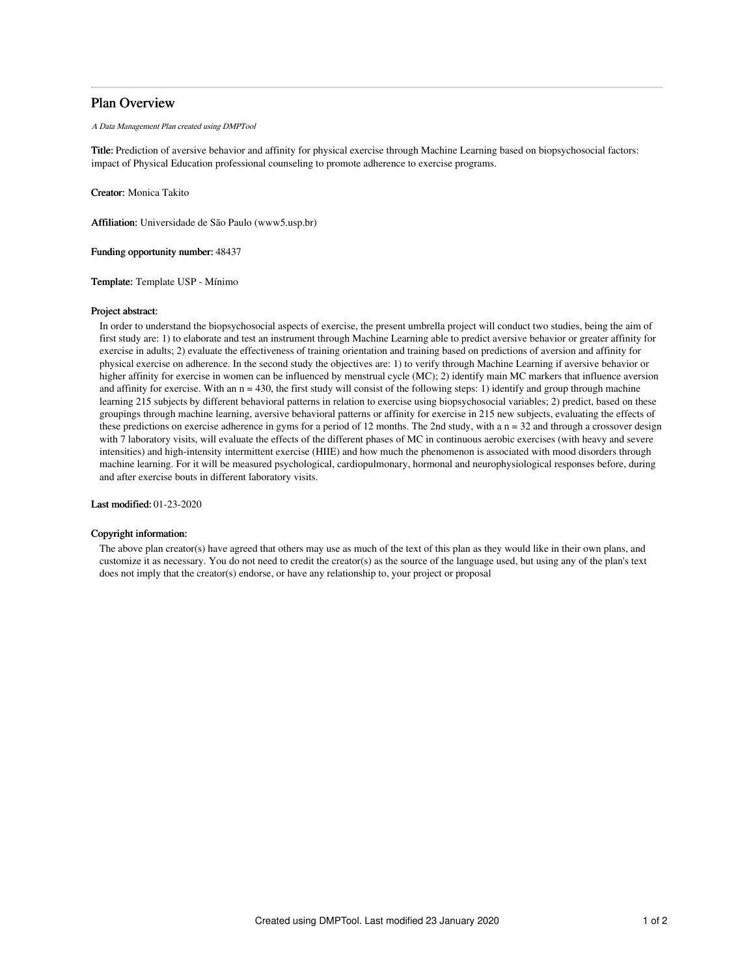# Plan Overview

A Data Management Plan created using DMPTool

Title: Prediction of aversive behavior and affinity for physical exercise through Machine Learning based on biopsychosocial factors: impact of Physical Education professional counseling to promote adherence to exercise programs.

Creator: Monica Takito

Affiliation: Universidade de São Paulo (www5.usp.br)

Funding opportunity number: 48437

Template: Template USP - Mínimo

# Project abstract:

In order to understand the biopsychosocial aspects of exercise, the present umbrella project will conduct two studies, being the aim of first study are: 1) to elaborate and test an instrument through Machine Learning able to predict aversive behavior or greater affinity for exercise in adults; 2) evaluate the effectiveness of training orientation and training based on predictions of aversion and affinity for physical exercise on adherence. In the second study the objectives are: 1) to verify through Machine Learning if aversive behavior or higher affinity for exercise in women can be influenced by menstrual cycle (MC); 2) identify main MC markers that influence aversion and affinity for exercise. With an  $n = 430$ , the first study will consist of the following steps: 1) identify and group through machine learning 215 subjects by different behavioral patterns in relation to exercise using biopsychosocial variables; 2) predict, based on these groupings through machine learning, aversive behavioral patterns or affinity for exercise in 215 new subjects, evaluating the effects of these predictions on exercise adherence in gyms for a period of 12 months. The 2nd study, with a n = 32 and through a crossover design with 7 laboratory visits, will evaluate the effects of the different phases of MC in continuous aerobic exercises (with heavy and severe intensities) and high-intensity intermittent exercise (HIIE) and how much the phenomenon is associated with mood disorders through machine learning. For it will be measured psychological, cardiopulmonary, hormonal and neurophysiological responses before, during and after exercise bouts in different laboratory visits.

Last modified: 01-23-2020

# Copyright information:

The above plan creator(s) have agreed that others may use as much of the text of this plan as they would like in their own plans, and customize it as necessary. You do not need to credit the creator(s) as the source of the language used, but using any of the plan's text does not imply that the creator(s) endorse, or have any relationship to, your project or proposal